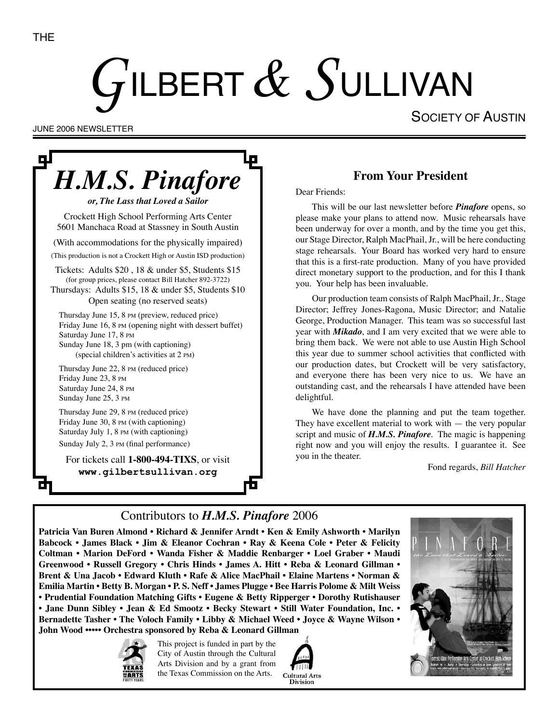# $G$ ilbert $\,\mathscr{X}\,$ Sullivan

SOCIETY OF AUSTIN

JUNE 2006 NEWSLETTER

# ДJ *H.M.S. Pinafore or, The Lass that Loved a Sailor* Crockett High School Performing Arts Center

5601 Manchaca Road at Stassney in South Austin

(With accommodations for the physically impaired)

(This production is not a Crockett High or Austin ISD production)

Tickets: Adults \$20 , 18 & under \$5, Students \$15 (for group prices, please contact Bill Hatcher 892-3722)

Thursdays: Adults \$15, 18 & under \$5, Students \$10 Open seating (no reserved seats)

Thursday June 15, 8 PM (preview, reduced price) Friday June 16, 8 PM (opening night with dessert buffet) Saturday June 17, 8 PM Sunday June 18, 3 pm (with captioning) (special children's activities at 2 PM)

Thursday June 22, 8 PM (reduced price) Friday June 23, 8 PM Saturday June 24, 8 PM Sunday June 25, 3 PM

Thursday June 29, 8 PM (reduced price) Friday June 30, 8 PM (with captioning) Saturday July 1, 8 PM (with captioning) Sunday July 2, 3 PM (final performance)

For tickets call **1-800-494-TIXS**, or visit **www.gilbertsullivan.org**

#### **From Your President**

Dear Friends:

This will be our last newsletter before *Pinafore* opens, so please make your plans to attend now. Music rehearsals have been underway for over a month, and by the time you get this, our Stage Director, Ralph MacPhail, Jr., will be here conducting stage rehearsals. Your Board has worked very hard to ensure that this is a first-rate production. Many of you have provided direct monetary support to the production, and for this I thank you. Your help has been invaluable.

Our production team consists of Ralph MacPhail, Jr., Stage Director; Jeffrey Jones-Ragona, Music Director; and Natalie George, Production Manager. This team was so successful last year with *Mikado*, and I am very excited that we were able to bring them back. We were not able to use Austin High School this year due to summer school activities that conflicted with our production dates, but Crockett will be very satisfactory, and everyone there has been very nice to us. We have an outstanding cast, and the rehearsals I have attended have been delightful.

We have done the planning and put the team together. They have excellent material to work with  $-$  the very popular script and music of *H.M.S. Pinafore*. The magic is happening right now and you will enjoy the results. I guarantee it. See you in the theater.

Fond regards, *Bill Hatcher*

## Contributors to *H.M.S. Pinafore* 2006

**Patricia Van Buren Almond • Richard & Jennifer Arndt • Ken & Emily Ashworth • Marilyn Babcock • James Black • Jim & Eleanor Cochran • Ray & Keena Cole • Peter & Felicity Coltman • Marion DeFord • Wanda Fisher & Maddie Renbarger • Loel Graber • Maudi Greenwood • Russell Gregory • Chris Hinds • James A. Hitt • Reba & Leonard Gillman • Brent & Una Jacob • Edward Kluth • Rafe & Alice MacPhail • Elaine Martens • Norman & Emilia Martin • Betty B. Morgan • P. S. Neff • James Plugge • Bee Harris Polome & Milt Weiss • Prudential Foundation Matching Gifts • Eugene & Betty Ripperger • Dorothy Rutishauser • Jane Dunn Sibley • Jean & Ed Smootz • Becky Stewart • Still Water Foundation, Inc. • Bernadette Tasher • The Voloch Family • Libby & Michael Weed • Joyce & Wayne Wilson • John Wood ••••• Orchestra sponsored by Reba & Leonard Gillman**



This project is funded in part by the City of Austin through the Cultural Arts Division and by a grant from the Texas Commission on the Arts.



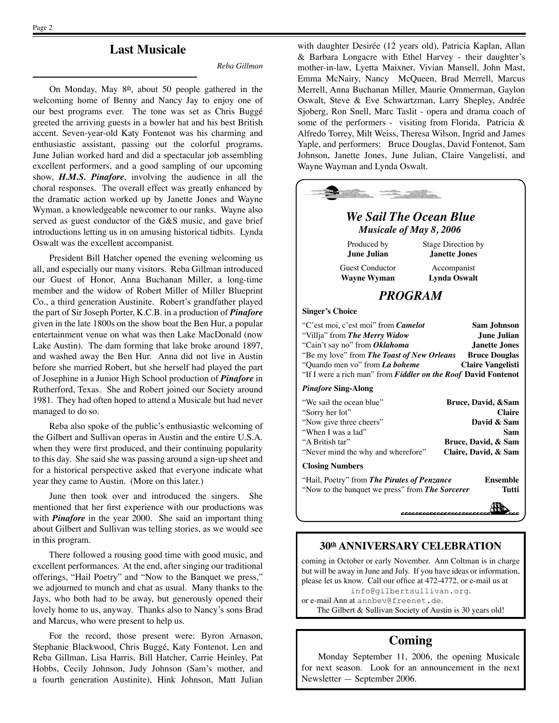**Last Musicale**

*Reba Gillman*

On Monday, May  $8th$ , about 50 people gathered in the welcoming home of Benny and Nancy Jay to enjoy one of our best programs ever. The tone was set as Chris Buggé greeted the arriving guests in a bowler hat and his best British accent. Seven-year-old Katy Fontenot was his charming and enthusiastic assistant, passing out the colorful programs. June Julian worked hard and did a spectacular job assembling excellent performers, and a good sampling of our upcoming show, *H.M.S. Pinafore*, involving the audience in all the choral responses. The overall effect was greatly enhanced by the dramatic action worked up by Janette Jones and Wayne Wyman, a knowledgeable newcomer to our ranks. Wayne also served as guest conductor of the G&S music, and gave brief introductions letting us in on amusing historical tidbits. Lynda Oswalt was the excellent accompanist.

President Bill Hatcher opened the evening welcoming us all, and especially our many visitors. Reba Gillman introduced our Guest of Honor, Anna Buchanan Miller, a long-time member and the widow of Robert Miller of Miller Blueprint Co., a third generation Austinite. Robert's grandfather played the part of Sir Joseph Porter, K.C.B. in a production of *Pinafore*  given in the late 1800s on the show boat the Ben Hur, a popular entertainment venue on what was then Lake MacDonald (now Lake Austin). The dam forming that lake broke around 1897, and washed away the Ben Hur. Anna did not live in Austin before she married Robert, but she herself had played the part of Josephine in a Junior High School production of *Pinafore* in Rutherford, Texas. She and Robert joined our Society around 1981. They had often hoped to attend a Musicale but had never managed to do so.

Reba also spoke of the public's enthusiastic welcoming of the Gilbert and Sullivan operas in Austin and the entire U.S.A. when they were first produced, and their continuing popularity to this day. She said she was passing around a sign-up sheet and for a historical perspective asked that everyone indicate what year they came to Austin. (More on this later.)

June then took over and introduced the singers. She mentioned that her first experience with our productions was with *Pinafore* in the year 2000. She said an important thing about Gilbert and Sullivan was telling stories, as we would see in this program.

There followed a rousing good time with good music, and excellent performances. At the end, after singing our traditional offerings, "Hail Poetry" and "Now to the Banquet we press," we adjourned to munch and chat as usual. Many thanks to the Jays, who both had to be away, but generously opened their lovely home to us, anyway. Thanks also to Nancy's sons Brad and Marcus, who were present to help us.

For the record, those present were: Byron Arnason, Stephanie Blackwood, Chris Buggé, Katy Fontenot, Len and Reba Gillman, Lisa Harris, Bill Hatcher, Carrie Heinley, Pat Hobbs, Cecily Johnson, Judy Johnson (Sam's mother, and a fourth generation Austinite), Hink Johnson, Matt Julian

with daughter Desirée (12 years old), Patricia Kaplan, Allan & Barbara Longacre with Ethel Harvey - their daughter's mother-in-law, Lyetta Maixner, Vivian Mansell, John Mast, Emma McNairy, Nancy McQueen, Brad Merrell, Marcus Merrell, Anna Buchanan Miller, Maurie Ommerman, Gaylon Oswalt, Steve & Eve Schwartzman, Larry Shepley, Andrée Sjoberg, Ron Snell, Marc Taslit - opera and drama coach of some of the performers - visiting from Florida, Patricia & Alfredo Torrey, Milt Weiss, Theresa Wilson, Ingrid and James Yaple, and performers: Bruce Douglas, David Fontenot, Sam Johnson, Janette Jones, June Julian, Claire Vangelisti, and Wayne Wayman and Lynda Oswalt.

| <b>We Sail The Ocean Blue</b><br>Musicale of May 8, 2006                                                                                                                                                                                                                                                                                                                 |                                                                                                                 |  |  |  |
|--------------------------------------------------------------------------------------------------------------------------------------------------------------------------------------------------------------------------------------------------------------------------------------------------------------------------------------------------------------------------|-----------------------------------------------------------------------------------------------------------------|--|--|--|
| Produced by<br>June Julian                                                                                                                                                                                                                                                                                                                                               | Stage Direction by<br>Janette Jones                                                                             |  |  |  |
| <b>Guest Conductor</b><br><b>Wayne Wyman</b>                                                                                                                                                                                                                                                                                                                             | Accompanist<br><b>Lynda Oswalt</b>                                                                              |  |  |  |
| <b>PROGRAM</b>                                                                                                                                                                                                                                                                                                                                                           |                                                                                                                 |  |  |  |
| <b>Singer's Choice</b>                                                                                                                                                                                                                                                                                                                                                   |                                                                                                                 |  |  |  |
| "C'est moi, c'est moi" from Camelot<br><b>Sam Johnson</b><br>"Villja" from The Merry Widow<br>June Julian<br>"Cain't say no" from Oklahoma<br><b>Janette Jones</b><br>"Be my love" from The Toast of New Orleans<br><b>Bruce Douglas</b><br>"Quando men vo" from La boheme<br><b>Claire Vangelisti</b><br>"If I were a rich man" from Fiddler on the Roof David Fontenot |                                                                                                                 |  |  |  |
| <b>Pinafore Sing-Along</b>                                                                                                                                                                                                                                                                                                                                               |                                                                                                                 |  |  |  |
| "We sail the ocean blue"<br>"Sorry her lot"<br>"Now give three cheers"<br>"When I was a lad"<br>"A British tar"<br>"Never mind the why and wherefore"                                                                                                                                                                                                                    | Bruce, David, &Sam<br><b>Claire</b><br>David & Sam<br><b>Sam</b><br>Bruce, David, & Sam<br>Claire, David, & Sam |  |  |  |
| <b>Closing Numbers</b>                                                                                                                                                                                                                                                                                                                                                   |                                                                                                                 |  |  |  |
| "Hail, Poetry" from The Pirates of Penzance<br><b>Ensemble</b><br>"Now to the banquet we press" from The Sorcerer<br>Tutti                                                                                                                                                                                                                                               |                                                                                                                 |  |  |  |
|                                                                                                                                                                                                                                                                                                                                                                          |                                                                                                                 |  |  |  |

#### **30th ANNIVERSARY CELEBRATION**

coming in October or early November. Ann Coltman is in charge but will be away in June and July. If you have ideas or information, please let us know. Call our office at 472-4772, or e-mail us at info@gilbertsullivan.org. or e-mail Ann at annbev@freenet.de.

The Gilbert & Sullivan Society of Austin is 30 years old!

#### **Coming**

Monday September 11, 2006, the opening Musicale for next season. Look for an announcement in the next Newsletter — September 2006.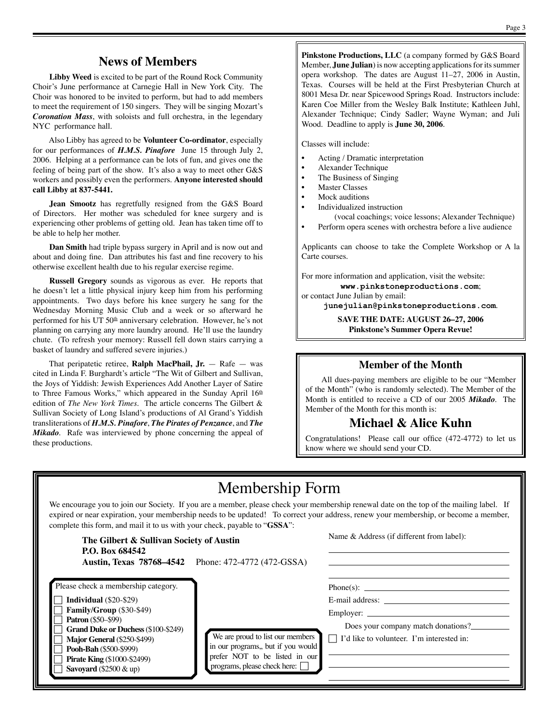#### **News of Members**

**Libby Weed** is excited to be part of the Round Rock Community Choir's June performance at Carnegie Hall in New York City. The Choir was honored to be invited to perform, but had to add members to meet the requirement of 150 singers. They will be singing Mozart's *Coronation Mass*, with soloists and full orchestra, in the legendary NYC performance hall.

Also Libby has agreed to be **Volunteer Co-ordinator**, especially for our performances of *H.M.S. Pinafore* June 15 through July 2, 2006. Helping at a performance can be lots of fun, and gives one the feeling of being part of the show. It's also a way to meet other G&S workers and possibly even the performers. **Anyone interested should call Libby at 837-5441.** 

**Jean Smootz** has regretfully resigned from the G&S Board of Directors. Her mother was scheduled for knee surgery and is experiencing other problems of getting old. Jean has taken time off to be able to help her mother.

**Dan Smith** had triple bypass surgery in April and is now out and about and doing fine. Dan attributes his fast and fine recovery to his otherwise excellent health due to his regular exercise regime.

**Russell Gregory** sounds as vigorous as ever. He reports that he doesn't let a little physical injury keep him from his performing appointments. Two days before his knee surgery he sang for the Wednesday Morning Music Club and a week or so afterward he performed for his UT 50<sup>th</sup> anniversary celebration. However, he's not planning on carrying any more laundry around. He'll use the laundry chute. (To refresh your memory: Russell fell down stairs carrying a basket of laundry and suffered severe injuries.)

That peripatetic retiree, **Ralph MacPhail, Jr.** — Rafe — was cited in Linda F. Burghardt's article "The Wit of Gilbert and Sullivan, the Joys of Yiddish: Jewish Experiences Add Another Layer of Satire to Three Famous Works," which appeared in the Sunday April  $16<sup>th</sup>$ edition of *The New York Times*. The article concerns The Gilbert & Sullivan Society of Long Island's productions of Al Grand's Yiddish transliterations of *H.M.S. Pinafore*, *The Pirates of Penzance*, and *The Mikado*. Rafe was interviewed by phone concerning the appeal of these productions.

**Pinkstone Productions, LLC** (a company formed by G&S Board Member, **June Julian**) is now accepting applications for its summer opera workshop. The dates are August 11–27, 2006 in Austin, Texas. Courses will be held at the First Presbyterian Church at 8001 Mesa Dr. near Spicewood Springs Road. Instructors include: Karen Coe Miller from the Wesley Balk Institute; Kathleen Juhl, Alexander Technique; Cindy Sadler; Wayne Wyman; and Juli Wood. Deadline to apply is **June 30, 2006**.

Classes will include:

- Acting / Dramatic interpretation
- Alexander Technique
- The Business of Singing
- **Master Classes**
- Mock auditions
- Individualized instruction
	- (vocal coachings; voice lessons; Alexander Technique)

• Perform opera scenes with orchestra before a live audience

Applicants can choose to take the Complete Workshop or A la Carte courses.

For more information and application, visit the website:

**www.pinkstoneproductions.com**; or contact June Julian by email:

**junejulian@pinkstoneproductions.com**.

**SAVE THE DATE: AUGUST 26–27, 2006 Pinkstone's Summer Opera Revue!**

#### **Member of the Month**

All dues-paying members are eligible to be our "Member of the Month" (who is randomly selected). The Member of the Month is entitled to receive a CD of our 2005 *Mikado*. The Member of the Month for this month is:

#### **Michael & Alice Kuhn**

Congratulations! Please call our office (472-4772) to let us know where we should send your CD.

# Membership Form

We encourage you to join our Society. If you are a member, please check your membership renewal date on the top of the mailing label. If expired or near expiration, your membership needs to be updated! To correct your address, renew your membership, or become a member, complete this form, and mail it to us with your check, payable to "**GSSA**":

| The Gilbert & Sullivan Society of Austin<br>P.O. Box 684542                                                                                                                                                                                                                                                   | <b>Austin, Texas 78768–4542</b> Phone: 472-4772 (472-GSSA)                                                                                             | Name & Address (if different from label):                                                                                              |
|---------------------------------------------------------------------------------------------------------------------------------------------------------------------------------------------------------------------------------------------------------------------------------------------------------------|--------------------------------------------------------------------------------------------------------------------------------------------------------|----------------------------------------------------------------------------------------------------------------------------------------|
| Please check a membership category.<br><b>Individual</b> $(\$20-\$29)$<br>Family/Group (\$30-\$49)<br><b>Patron</b> (\$50–\$99)<br><b>Grand Duke or Duchess (\$100-\$249)</b><br><b>Major General (\$250-\$499)</b><br>Pooh-Bah (\$500-\$999)<br><b>Pirate King (\$1000-\$2499)</b><br>Savoyard (\$2500 & up) | We are proud to list our members<br>in our programs,, but if you would<br>prefer NOT to be listed in our<br>$\Box$ programs, please check here: $\Box$ | $Phone(s)$ :<br>E-mail address:<br>Employer:<br>Does your company match donations?<br>$\Box$ I'd like to volunteer. I'm interested in: |